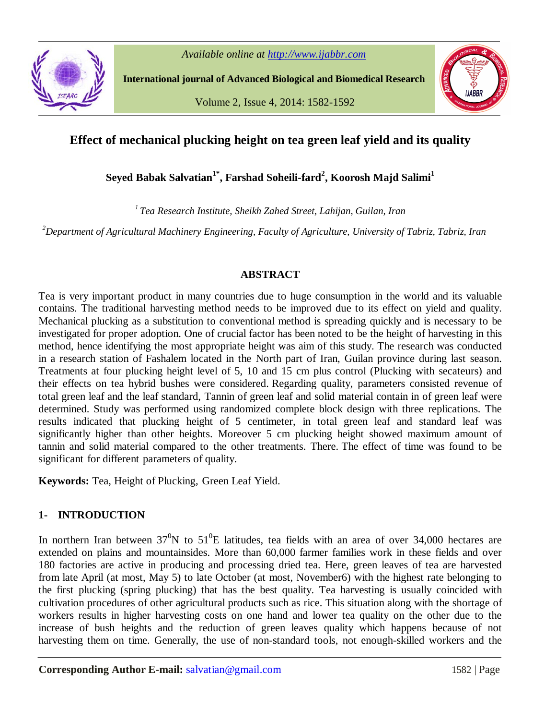

*Available online at http://www.ijabbr.com*

**International journal of Advanced Biological and Biomedical Research**

Volume 2, Issue 4, 2014: 1582-1592



# **Effect of mechanical plucking height on tea green leaf yield and its quality**

**Seyed Babak Salvatian1\*, Farshad Soheili-fard<sup>2</sup> , Koorosh Majd Salimi<sup>1</sup>**

*<sup>1</sup>Tea Research Institute, Sheikh Zahed Street, Lahijan, Guilan, Iran*

*<sup>2</sup>Department of Agricultural Machinery Engineering, Faculty of Agriculture, University of Tabriz, Tabriz, Iran*

#### **ABSTRACT**

Tea is very important product in many countries due to huge consumption in the world and its valuable contains. The traditional harvesting method needs to be improved due to its effect on yield and quality. Mechanical plucking as a substitution to conventional method is spreading quickly and is necessary to be investigated for proper adoption. One of crucial factor has been noted to be the height of harvesting in this method, hence identifying the most appropriate height was aim of this study. The research was conducted in a research station of Fashalem located in the North part of Iran, Guilan province during last season. Treatments at four plucking height level of 5, 10 and 15 cm plus control (Plucking with secateurs) and their effects on tea hybrid bushes were considered. Regarding quality, parameters consisted revenue of total green leaf and the leaf standard, Tannin of green leaf and solid material contain in of green leaf were determined. Study was performed using randomized complete block design with three replications. The results indicated that plucking height of 5 centimeter, in total green leaf and standard leaf was significantly higher than other heights. Moreover 5 cm plucking height showed maximum amount of tannin and solid material compared to the other treatments. There. The effect of time was found to be significant for different parameters of quality.

**Keywords:** Tea, Height of Plucking, Green Leaf Yield.

# **1- INTRODUCTION**

In northern Iran between  $37^0$ N to  $51^0$ E latitudes, tea fields with an area of over 34,000 hectares are extended on plains and mountainsides. More than 60,000 farmer families work in these fields and over 180 factories are active in producing and processing dried tea. Here, green leaves of tea are harvested from late April (at most, May 5) to late October (at most, November6) with the highest rate belonging to the first plucking (spring plucking) that has the best quality. Tea harvesting is usually coincided with cultivation procedures of other agricultural products such as rice. This situation along with the shortage of workers results in higher harvesting costs on one hand and lower tea quality on the other due to the increase of bush heights and the reduction of green leaves quality which happens because of not harvesting them on time. Generally, the use of non-standard tools, not enough-skilled workers and the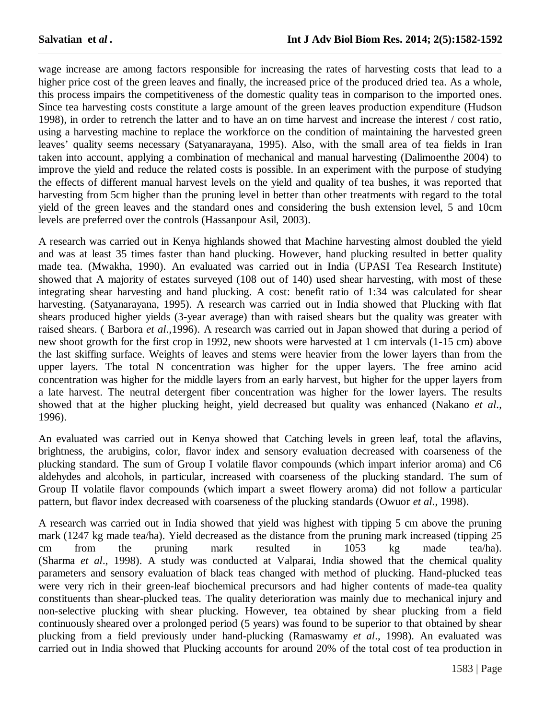wage increase are among factors responsible for increasing the rates of harvesting costs that lead to a higher price cost of the green leaves and finally, the increased price of the produced dried tea. As a whole, this process impairs the competitiveness of the domestic quality teas in comparison to the imported ones. Since tea harvesting costs constitute a large amount of the green leaves production expenditure (Hudson 1998), in order to retrench the latter and to have an on time harvest and increase the interest / cost ratio, using a harvesting machine to replace the workforce on the condition of maintaining the harvested green leaves' quality seems necessary (Satyanarayana, 1995). Also, with the small area of tea fields in Iran taken into account, applying a combination of mechanical and manual harvesting (Dalimoenthe 2004) to improve the yield and reduce the related costs is possible. In an experiment with the purpose of studying the effects of different manual harvest levels on the yield and quality of tea bushes, it was reported that harvesting from 5cm higher than the pruning level in better than other treatments with regard to the total yield of the green leaves and the standard ones and considering the bush extension level, 5 and 10cm levels are preferred over the controls (Hassanpour Asil, 2003).

A research was carried out in Kenya highlands showed that Machine harvesting almost doubled the yield and was at least 35 times faster than hand plucking. However, hand plucking resulted in better quality made tea. (Mwakha, 1990). An evaluated was carried out in India (UPASI Tea Research Institute) showed that A majority of estates surveyed (108 out of 140) used shear harvesting, with most of these integrating shear harvesting and hand plucking. A cost: benefit ratio of 1:34 was calculated for shear harvesting. (Satyanarayana, 1995). A research was carried out in India showed that Plucking with flat shears produced higher yields (3-year average) than with raised shears but the quality was greater with raised shears. ( Barbora *et al*.,1996). A research was carried out in Japan showed that during a period of new shoot growth for the first crop in 1992, new shoots were harvested at 1 cm intervals (1-15 cm) above the last skiffing surface. Weights of leaves and stems were heavier from the lower layers than from the upper layers. The total N concentration was higher for the upper layers. The free amino acid concentration was higher for the middle layers from an early harvest, but higher for the upper layers from a late harvest. The neutral detergent fiber concentration was higher for the lower layers. The results showed that at the higher plucking height, yield decreased but quality was enhanced (Nakano *et al*., 1996).

An evaluated was carried out in Kenya showed that Catching levels in green leaf, total the aflavins, brightness, the arubigins, color, flavor index and sensory evaluation decreased with coarseness of the plucking standard. The sum of Group I volatile flavor compounds (which impart inferior aroma) and C6 aldehydes and alcohols, in particular, increased with coarseness of the plucking standard. The sum of Group II volatile flavor compounds (which impart a sweet flowery aroma) did not follow a particular pattern, but flavor index decreased with coarseness of the plucking standards (Owuor *et al*., 1998).

A research was carried out in India showed that yield was highest with tipping 5 cm above the pruning mark (1247 kg made tea/ha). Yield decreased as the distance from the pruning mark increased (tipping 25 cm from the pruning mark resulted in 1053 kg made tea/ha). (Sharma *et al*., 1998). A study was conducted at Valparai, India showed that the chemical quality parameters and sensory evaluation of black teas changed with method of plucking. Hand-plucked teas were very rich in their green-leaf biochemical precursors and had higher contents of made-tea quality constituents than shear-plucked teas. The quality deterioration was mainly due to mechanical injury and non-selective plucking with shear plucking. However, tea obtained by shear plucking from a field continuously sheared over a prolonged period (5 years) was found to be superior to that obtained by shear plucking from a field previously under hand-plucking (Ramaswamy *et al*., 1998). An evaluated was carried out in India showed that Plucking accounts for around 20% of the total cost of tea production in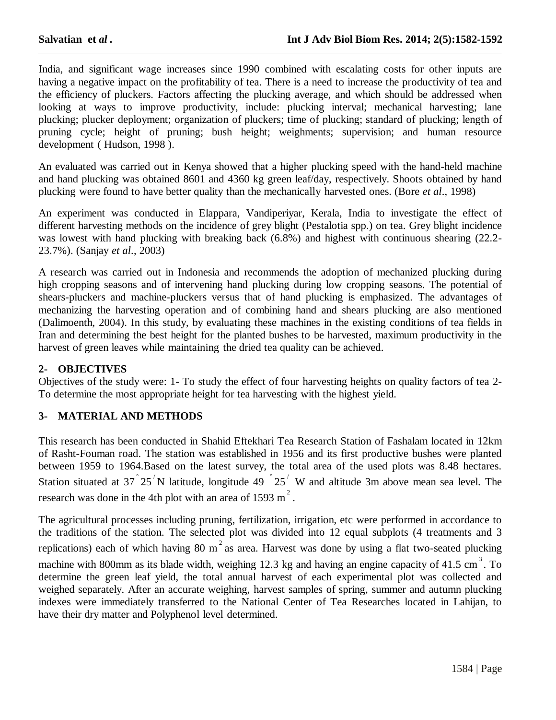India, and significant wage increases since 1990 combined with escalating costs for other inputs are having a negative impact on the profitability of tea. There is a need to increase the productivity of tea and the efficiency of pluckers. Factors affecting the plucking average, and which should be addressed when looking at ways to improve productivity, include: plucking interval; mechanical harvesting; lane plucking; plucker deployment; organization of pluckers; time of plucking; standard of plucking; length of pruning cycle; height of pruning; bush height; weighments; supervision; and human resource development ( Hudson, 1998 ).

An evaluated was carried out in Kenya showed that a higher plucking speed with the hand-held machine and hand plucking was obtained 8601 and 4360 kg green leaf/day, respectively. Shoots obtained by hand plucking were found to have better quality than the mechanically harvested ones. (Bore *et al*., 1998)

An experiment was conducted in Elappara, Vandiperiyar, Kerala, India to investigate the effect of different harvesting methods on the incidence of grey blight (Pestalotia spp.) on tea. Grey blight incidence was lowest with hand plucking with breaking back (6.8%) and highest with continuous shearing (22.2- 23.7%). (Sanjay *et al*., 2003)

A research was carried out in Indonesia and recommends the adoption of mechanized plucking during high cropping seasons and of intervening hand plucking during low cropping seasons. The potential of shears-pluckers and machine-pluckers versus that of hand plucking is emphasized. The advantages of mechanizing the harvesting operation and of combining hand and shears plucking are also mentioned (Dalimoenth, 2004). In this study, by evaluating these machines in the existing conditions of tea fields in Iran and determining the best height for the planted bushes to be harvested, maximum productivity in the harvest of green leaves while maintaining the dried tea quality can be achieved.

#### **2- OBJECTIVES**

Objectives of the study were: 1- To study the effect of four harvesting heights on quality factors of tea 2- To determine the most appropriate height for tea harvesting with the highest yield.

#### **3- MATERIAL AND METHODS**

This research has been conducted in Shahid Eftekhari Tea Research Station of Fashalam located in 12km of Rasht-Fouman road. The station was established in 1956 and its first productive bushes were planted between 1959 to 1964.Based on the latest survey, the total area of the used plots was 8.48 hectares. Station situated at 37  $25'$  N latitude, longitude 49  $25'$  W and altitude 3m above mean sea level. The research was done in the 4th plot with an area of 1593 m<sup>2</sup>.

The agricultural processes including pruning, fertilization, irrigation, etc were performed in accordance to the traditions of the station. The selected plot was divided into 12 equal subplots (4 treatments and 3 replications) each of which having 80 m<sup>2</sup> as area. Harvest was done by using a flat two-seated plucking machine with 800mm as its blade width, weighing 12.3 kg and having an engine capacity of 41.5 cm<sup>3</sup>. To determine the green leaf yield, the total annual harvest of each experimental plot was collected and weighed separately. After an accurate weighing, harvest samples of spring, summer and autumn plucking indexes were immediately transferred to the National Center of Tea Researches located in Lahijan, to have their dry matter and Polyphenol level determined.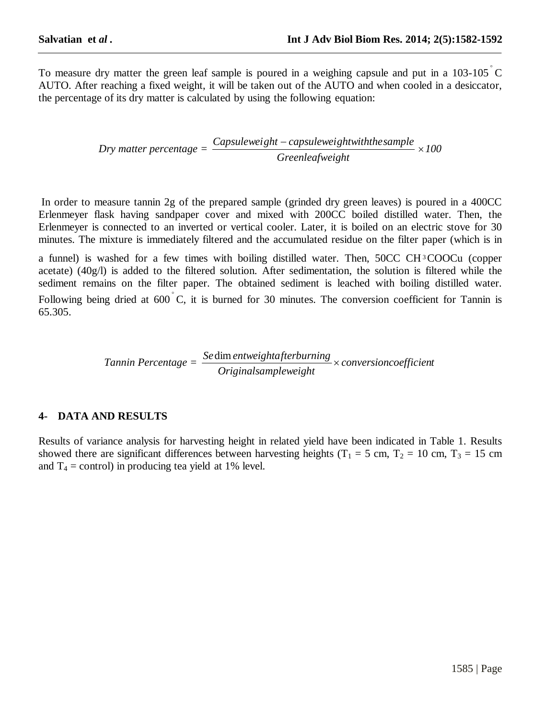To measure dry matter the green leaf sample is poured in a weighing capsule and put in a  $103-105^{\circ}$ C AUTO. After reaching a fixed weight, it will be taken out of the AUTO and when cooled in a desiccator, the percentage of its dry matter is calculated by using the following equation:

$$
Dry\ matter\ percentage = \frac{Capsuleweight - capsuleweight with the sample}{Green leaf weight} \times 100
$$

In order to measure tannin 2g of the prepared sample (grinded dry green leaves) is poured in a 400CC Erlenmeyer flask having sandpaper cover and mixed with 200CC boiled distilled water. Then, the Erlenmeyer is connected to an inverted or vertical cooler. Later, it is boiled on an electric stove for 30 minutes. The mixture is immediately filtered and the accumulated residue on the filter paper (which is in

a funnel) is washed for a few times with boiling distilled water. Then, 50CC CH <sup>3</sup>COOCu (copper acetate) (40g/l) is added to the filtered solution. After sedimentation, the solution is filtered while the sediment remains on the filter paper. The obtained sediment is leached with boiling distilled water. Following being dried at  $600^{\degree}$ C, it is burned for 30 minutes. The conversion coefficient for Tannin is 65.305.

> *Tannin Percentage = conversioncoefficient Originalsampleweight* Se dim entweightafterburning<br>
> and the set of the set of the set of the set of the set of the set of the set of the set of the set of the set of the set of the set of the set of the set of the set of the set of the set of t

## **4- DATA AND RESULTS**

Results of variance analysis for harvesting height in related yield have been indicated in Table 1. Results showed there are significant differences between harvesting heights ( $T_1 = 5$  cm,  $T_2 = 10$  cm,  $T_3 = 15$  cm and  $T_4$  = control) in producing tea yield at 1% level.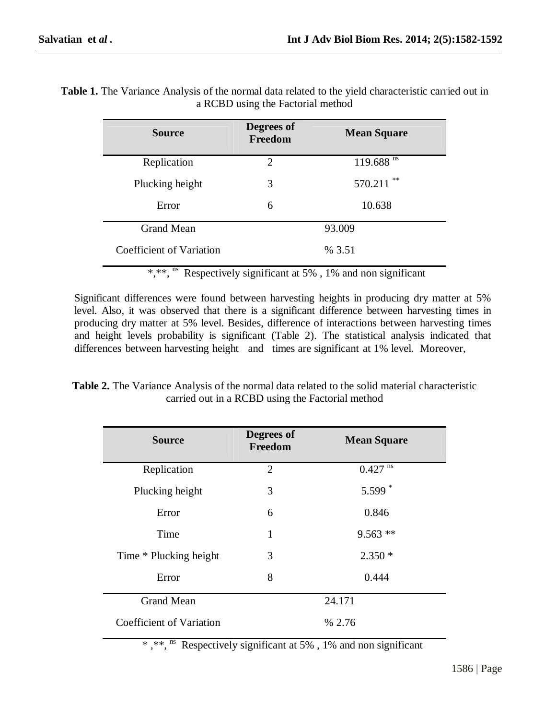| <b>Source</b>            | Degrees of<br>Freedom | <b>Mean Square</b>      |  |
|--------------------------|-----------------------|-------------------------|--|
| Replication              | $\overline{2}$        | $119.688$ <sup>ns</sup> |  |
| Plucking height          | 3                     | **<br>570.211           |  |
| Error                    | 6                     | 10.638                  |  |
| <b>Grand Mean</b>        | 93.009                |                         |  |
| Coefficient of Variation | % 3.51                |                         |  |

**Table 1.** The Variance Analysis of the normal data related to the yield characteristic carried out in a RCBD using the Factorial method

\*,\*\*,<sup>ns</sup> Respectively significant at 5%, 1% and non significant

Significant differences were found between harvesting heights in producing dry matter at 5% level. Also, it was observed that there is a significant difference between harvesting times in producing dry matter at 5% level. Besides, difference of interactions between harvesting times and height levels probability is significant (Table 2). The statistical analysis indicated that differences between harvesting height and times are significant at 1% level. Moreover,

**Table 2.** The Variance Analysis of the normal data related to the solid material characteristic carried out in a RCBD using the Factorial method

| <b>Source</b>                   | Degrees of<br>Freedom | <b>Mean Square</b>    |
|---------------------------------|-----------------------|-----------------------|
| Replication                     | $\overline{2}$        | $0.427$ <sup>ns</sup> |
| Plucking height                 | 3                     | 5.599 $*$             |
| Error                           | 6                     | 0.846                 |
| Time                            | 1                     | $9.563$ **            |
| Time * Plucking height          | 3                     | $2.350*$              |
| Error                           | 8                     | 0.444                 |
| <b>Grand Mean</b>               | 24.171                |                       |
| <b>Coefficient of Variation</b> | % 2.76                |                       |

\* ,\*\*, ns Respectively significant at 5% , 1% and non significant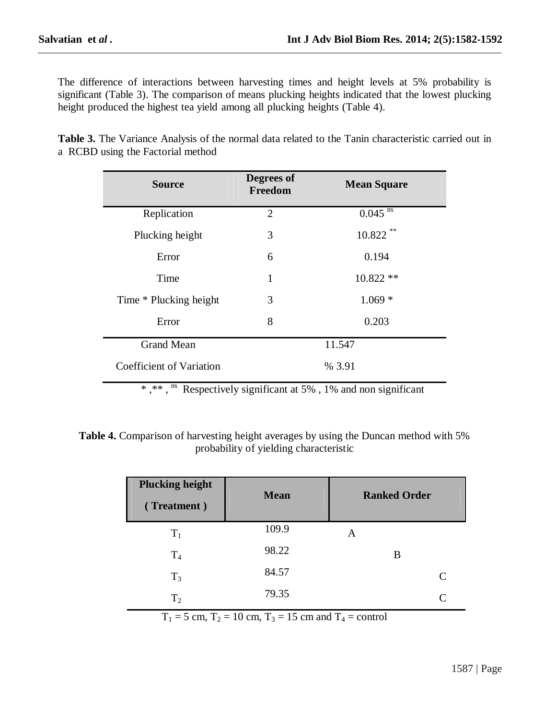The difference of interactions between harvesting times and height levels at 5% probability is significant (Table 3). The comparison of means plucking heights indicated that the lowest plucking height produced the highest tea yield among all plucking heights (Table 4).

| <b>Source</b>                   | Degrees of<br>Freedom | <b>Mean Square</b>    |
|---------------------------------|-----------------------|-----------------------|
| Replication                     | $\overline{2}$        | $0.045$ <sup>ns</sup> |
| Plucking height                 | 3                     | $* *$<br>10.822       |
| Error                           | 6                     | 0.194                 |
| Time                            | 1                     | $10.822**$            |
| Time * Plucking height          | 3                     | $1.069*$              |
| Error                           | 8                     | 0.203                 |
| <b>Grand Mean</b>               | 11.547                |                       |
| <b>Coefficient of Variation</b> | % 3.91                |                       |

**Table 3.** The Variance Analysis of the normal data related to the Tanin characteristic carried out in a RCBD using the Factorial method

\*,\*\*,<sup>ns</sup> Respectively significant at 5%, 1% and non significant

**Table 4.** Comparison of harvesting height averages by using the Duncan method with 5% probability of yielding characteristic

| <b>Plucking height</b><br>(Treatment) | <b>Mean</b> | <b>Ranked Order</b> |
|---------------------------------------|-------------|---------------------|
| $T_1$                                 | 109.9       | А                   |
| T <sub>4</sub>                        | 98.22       | B                   |
| $T_3$                                 | 84.57       | C                   |
| T <sub>2</sub>                        | 79.35       |                     |

 $T_1 = 5$  cm,  $T_2 = 10$  cm,  $T_3 = 15$  cm and  $T_4 =$  control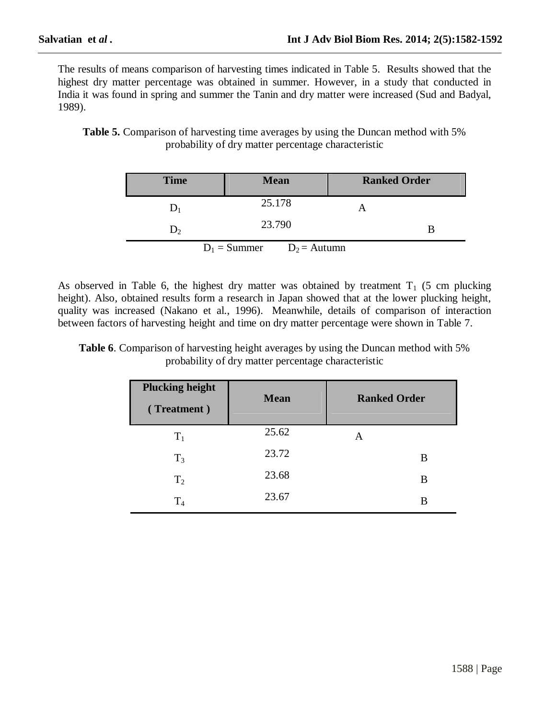The results of means comparison of harvesting times indicated in Table 5. Results showed that the highest dry matter percentage was obtained in summer. However, in a study that conducted in India it was found in spring and summer the Tanin and dry matter were increased (Sud and Badyal, 1989).

**Table 5.** Comparison of harvesting time averages by using the Duncan method with 5% probability of dry matter percentage characteristic

| <b>Time</b> | <b>Mean</b>                      | <b>Ranked Order</b> |
|-------------|----------------------------------|---------------------|
|             | 25.178                           |                     |
|             | 23.790                           |                     |
|             | $D_1$ = Summer<br>$D_2$ = Autumn |                     |

As observed in Table 6, the highest dry matter was obtained by treatment  $T_1$  (5 cm plucking height). Also, obtained results form a research in Japan showed that at the lower plucking height, quality was increased (Nakano et al., 1996). Meanwhile, details of comparison of interaction between factors of harvesting height and time on dry matter percentage were shown in Table 7.

| <b>Table 6.</b> Comparison of harvesting height averages by using the Duncan method with 5% |  |                                                     |  |
|---------------------------------------------------------------------------------------------|--|-----------------------------------------------------|--|
|                                                                                             |  | probability of dry matter percentage characteristic |  |

| <b>Plucking height</b><br>(Treatment) | <b>Mean</b> | <b>Ranked Order</b> |
|---------------------------------------|-------------|---------------------|
| $T_1$                                 | 25.62       | A                   |
| $T_3$                                 | 23.72       | B                   |
| T <sub>2</sub>                        | 23.68       | B                   |
| T <sub>4</sub>                        | 23.67       | В                   |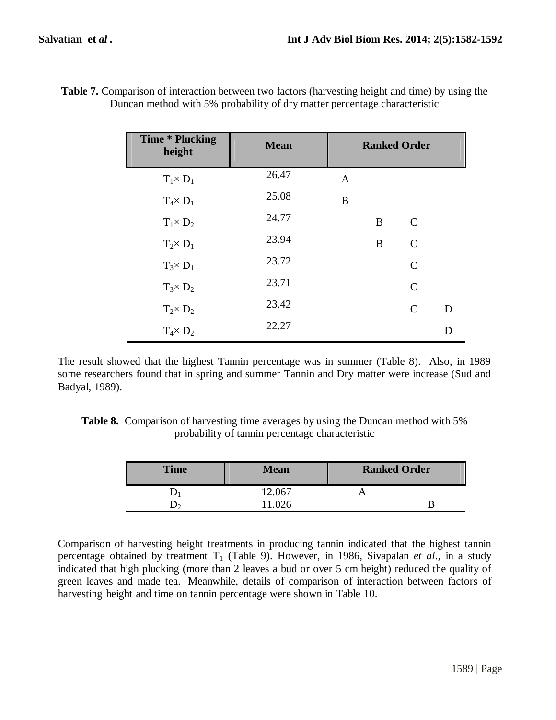| <b>Time * Plucking</b><br>height | <b>Mean</b> |              |   | <b>Ranked Order</b> |   |
|----------------------------------|-------------|--------------|---|---------------------|---|
| $T_1 \times D_1$                 | 26.47       | $\mathbf{A}$ |   |                     |   |
| $T_4 \times D_1$                 | 25.08       | B            |   |                     |   |
| $T_1 \times D_2$                 | 24.77       |              | B | $\mathsf{C}$        |   |
| $T_2 \times D_1$                 | 23.94       |              | B | $\mathsf{C}$        |   |
| $T_3 \times D_1$                 | 23.72       |              |   | $\mathsf{C}$        |   |
| $T_3 \times D_2$                 | 23.71       |              |   | $\mathcal{C}$       |   |
| $T_2 \times D_2$                 | 23.42       |              |   | $\mathsf{C}$        | D |
| $T_4 \times D_2$                 | 22.27       |              |   |                     | D |

**Table 7.** Comparison of interaction between two factors (harvesting height and time) by using the Duncan method with 5% probability of dry matter percentage characteristic

The result showed that the highest Tannin percentage was in summer (Table 8). Also, in 1989 some researchers found that in spring and summer Tannin and Dry matter were increase (Sud and Badyal, 1989).

| <b>Table 8.</b> Comparison of harvesting time averages by using the Duncan method with 5% |
|-------------------------------------------------------------------------------------------|
| probability of tannin percentage characteristic                                           |

| <b>Time</b> | <b>Mean</b> | <b>Ranked Order</b> |  |
|-------------|-------------|---------------------|--|
|             | 12.067      |                     |  |
|             | 1.026       |                     |  |

Comparison of harvesting height treatments in producing tannin indicated that the highest tannin percentage obtained by treatment  $T_1$  (Table 9). However, in 1986, Sivapalan *et al.*, in a study indicated that high plucking (more than 2 leaves a bud or over 5 cm height) reduced the quality of green leaves and made tea. Meanwhile, details of comparison of interaction between factors of harvesting height and time on tannin percentage were shown in Table 10.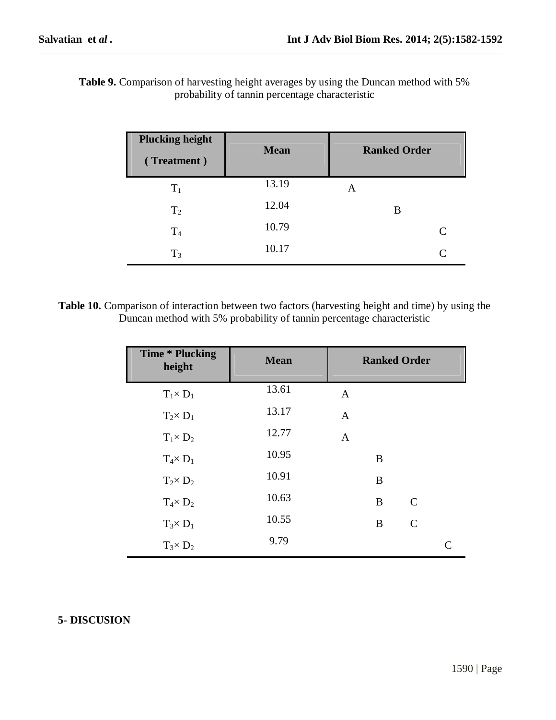| <b>Table 9.</b> Comparison of harvesting height averages by using the Duncan method with 5% |  |
|---------------------------------------------------------------------------------------------|--|
| probability of tannin percentage characteristic                                             |  |

| <b>Plucking height</b><br>(Treatment) | <b>Mean</b> | <b>Ranked Order</b> |
|---------------------------------------|-------------|---------------------|
| $T_1$                                 | 13.19       | A                   |
| T <sub>2</sub>                        | 12.04       | B                   |
| T <sub>4</sub>                        | 10.79       | C                   |
| $T_3$                                 | 10.17       | $\mathsf{C}$        |

**Table 10.** Comparison of interaction between two factors (harvesting height and time) by using the Duncan method with 5% probability of tannin percentage characteristic

| <b>Time * Plucking</b><br>height | <b>Mean</b> | <b>Ranked Order</b> |   |               |           |
|----------------------------------|-------------|---------------------|---|---------------|-----------|
| $T_1 \times D_1$                 | 13.61       | $\mathbf{A}$        |   |               |           |
| $T_2 \times D_1$                 | 13.17       | $\mathbf{A}$        |   |               |           |
| $T_1 \times D_2$                 | 12.77       | $\mathbf{A}$        |   |               |           |
| $T_4 \times D_1$                 | 10.95       |                     | B |               |           |
| $T_2 \times D_2$                 | 10.91       |                     | B |               |           |
| $T_4 \times D_2$                 | 10.63       |                     | B | $\mathcal{C}$ |           |
| $T_3 \times D_1$                 | 10.55       |                     | B | $\mathsf{C}$  |           |
| $T_3 \times D_2$                 | 9.79        |                     |   |               | $\subset$ |

## **5- DISCUSION**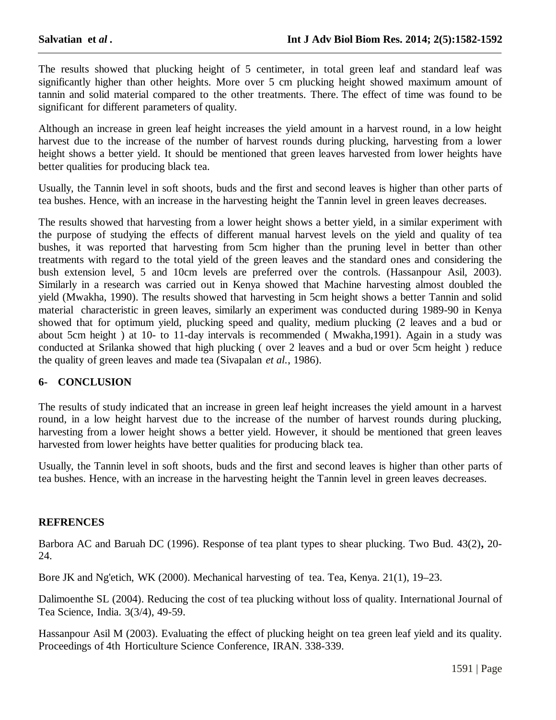The results showed that plucking height of 5 centimeter, in total green leaf and standard leaf was significantly higher than other heights. More over 5 cm plucking height showed maximum amount of tannin and solid material compared to the other treatments. There. The effect of time was found to be significant for different parameters of quality.

Although an increase in green leaf height increases the yield amount in a harvest round, in a low height harvest due to the increase of the number of harvest rounds during plucking, harvesting from a lower height shows a better yield. It should be mentioned that green leaves harvested from lower heights have better qualities for producing black tea.

Usually, the Tannin level in soft shoots, buds and the first and second leaves is higher than other parts of tea bushes. Hence, with an increase in the harvesting height the Tannin level in green leaves decreases.

The results showed that harvesting from a lower height shows a better yield, in a similar experiment with the purpose of studying the effects of different manual harvest levels on the yield and quality of tea bushes, it was reported that harvesting from 5cm higher than the pruning level in better than other treatments with regard to the total yield of the green leaves and the standard ones and considering the bush extension level, 5 and 10cm levels are preferred over the controls. (Hassanpour Asil, 2003). Similarly in a research was carried out in Kenya showed that Machine harvesting almost doubled the yield (Mwakha, 1990). The results showed that harvesting in 5cm height shows a better Tannin and solid material characteristic in green leaves, similarly an experiment was conducted during 1989-90 in Kenya showed that for optimum yield, plucking speed and quality, medium plucking (2 leaves and a bud or about 5cm height ) at 10- to 11-day intervals is recommended ( Mwakha,1991). Again in a study was conducted at Srilanka showed that high plucking ( over 2 leaves and a bud or over 5cm height ) reduce the quality of green leaves and made tea (Sivapalan *et al.*, 1986).

#### **6- CONCLUSION**

The results of study indicated that an increase in green leaf height increases the yield amount in a harvest round, in a low height harvest due to the increase of the number of harvest rounds during plucking, harvesting from a lower height shows a better yield. However, it should be mentioned that green leaves harvested from lower heights have better qualities for producing black tea.

Usually, the Tannin level in soft shoots, buds and the first and second leaves is higher than other parts of tea bushes. Hence, with an increase in the harvesting height the Tannin level in green leaves decreases.

#### **REFRENCES**

Barbora AC and Baruah DC (1996). Response of tea plant types to shear plucking. Two Bud. 43(2)**,** 20- 24.

Bore JK and Ng'etich, WK (2000). Mechanical harvesting of tea. Tea, Kenya. 21(1), 19–23.

Dalimoenthe SL (2004). Reducing the cost of tea plucking without loss of quality. International Journal of Tea Science, India. 3(3/4), 49-59.

Hassanpour Asil M (2003). Evaluating the effect of plucking height on tea green leaf yield and its quality. Proceedings of 4th Horticulture Science Conference, IRAN. 338-339.